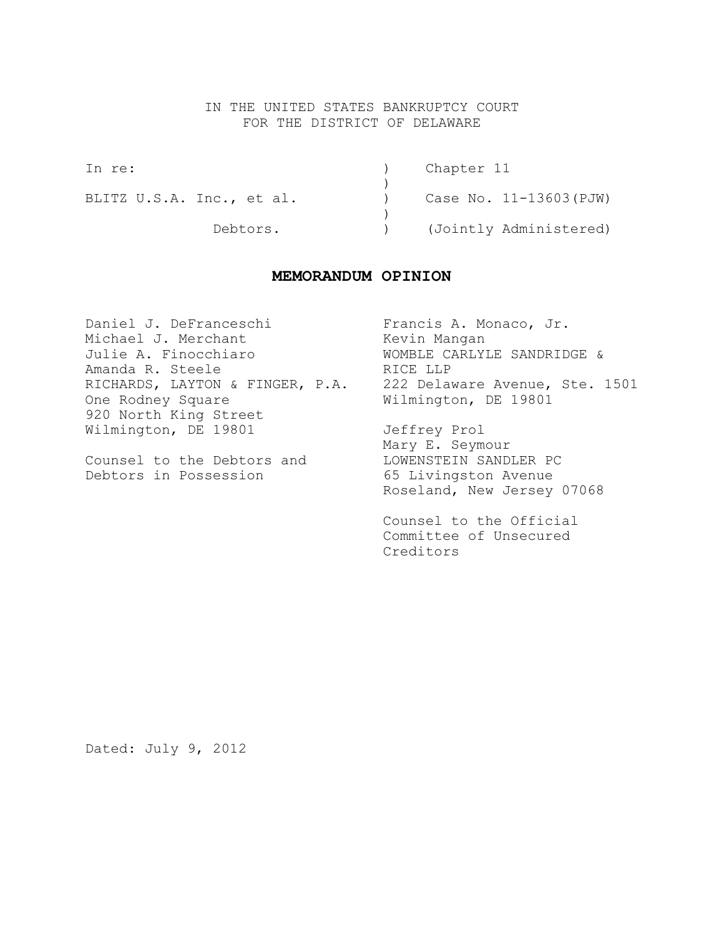## IN THE UNITED STATES BANKRUPTCY COURT FOR THE DISTRICT OF DELAWARE

| In re:                    | Chapter 11             |
|---------------------------|------------------------|
| BLITZ U.S.A. Inc., et al. | Case No. 11-13603(PJW) |
| Debtors.                  | (Jointly Administered) |

## **MEMORANDUM OPINION**

Daniel J. DeFranceschi (Francis A. Monaco, Jr. Michael J. Merchant Kevin Mangan Julie A. Finocchiaro WOMBLE CARLYLE SANDRIDGE & Amanda R. Steele RICE LLP RICHARDS, LAYTON & FINGER, P.A. 222 Delaware Avenue, Ste. 1501 One Rodney Square Milmington, DE 19801 920 North King Street Wilmington, DE 19801 Jeffrey Prol

Debtors in Possession 65 Livingston Avenue

Mary E. Seymour Counsel to the Debtors and LOWENSTEIN SANDLER PC Roseland, New Jersey 07068

> Counsel to the Official Committee of Unsecured Creditors

Dated: July 9, 2012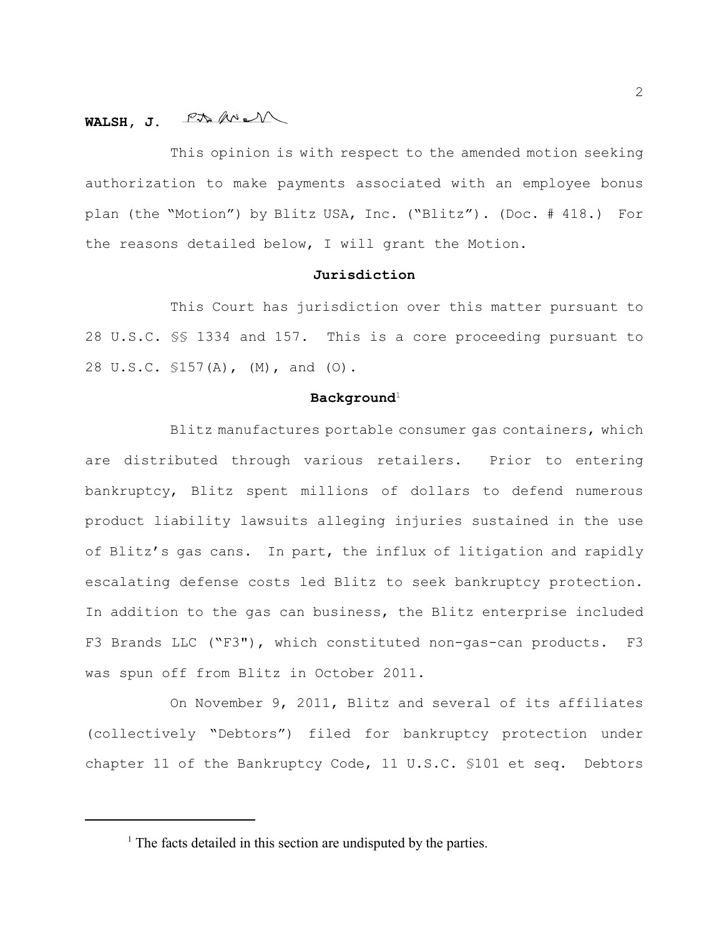# **WALSH, J.**

This opinion is with respect to the amended motion seeking authorization to make payments associated with an employee bonus plan (the "Motion") by Blitz USA, Inc. ("Blitz"). (Doc. # 418.) For the reasons detailed below, I will grant the Motion.

#### **Jurisdiction**

This Court has jurisdiction over this matter pursuant to 28 U.S.C. §§ 1334 and 157. This is a core proceeding pursuant to 28 U.S.C. §157(A), (M), and (O).

# $\mathbf{Background}^1$

Blitz manufactures portable consumer gas containers, which are distributed through various retailers. Prior to entering bankruptcy, Blitz spent millions of dollars to defend numerous product liability lawsuits alleging injuries sustained in the use of Blitz's gas cans. In part, the influx of litigation and rapidly escalating defense costs led Blitz to seek bankruptcy protection. In addition to the gas can business, the Blitz enterprise included F3 Brands LLC ("F3"), which constituted non-gas-can products. F3 was spun off from Blitz in October 2011.

On November 9, 2011, Blitz and several of its affiliates (collectively "Debtors") filed for bankruptcy protection under chapter 11 of the Bankruptcy Code, 11 U.S.C. §101 et seq. Debtors

 $<sup>1</sup>$  The facts detailed in this section are undisputed by the parties.</sup>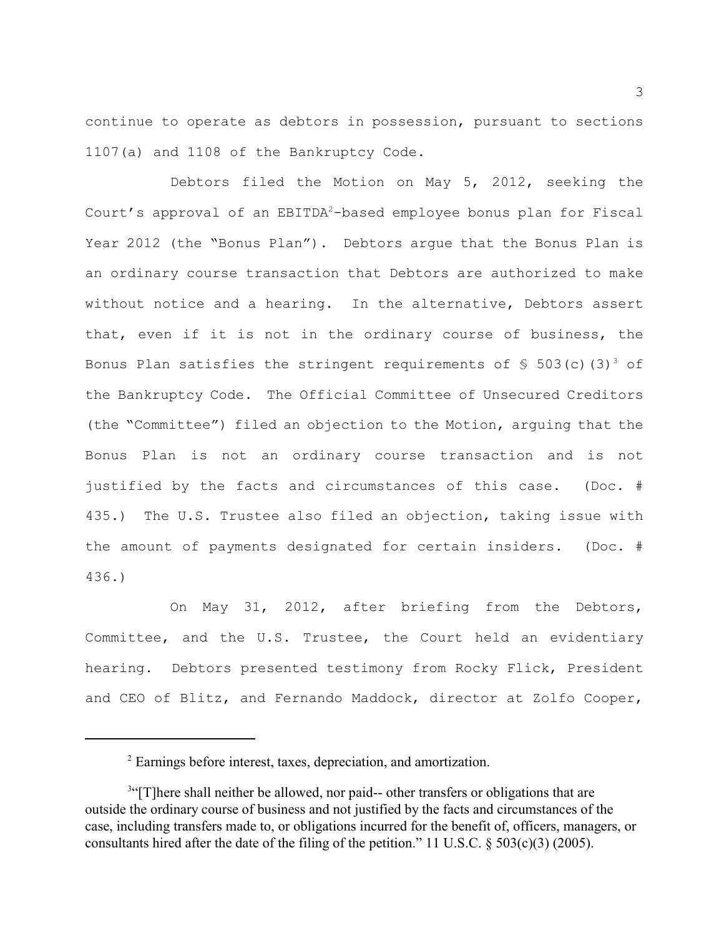continue to operate as debtors in possession, pursuant to sections 1107(a) and 1108 of the Bankruptcy Code.

Debtors filed the Motion on May 5, 2012, seeking the Court's approval of an EBITDA<sup>2</sup>-based employee bonus plan for Fiscal Year 2012 (the "Bonus Plan"). Debtors argue that the Bonus Plan is an ordinary course transaction that Debtors are authorized to make without notice and a hearing. In the alternative, Debtors assert that, even if it is not in the ordinary course of business, the Bonus Plan satisfies the stringent requirements of  $\frac{1}{5}$  503(c)(3)<sup>3</sup> of the Bankruptcy Code. The Official Committee of Unsecured Creditors (the "Committee") filed an objection to the Motion, arguing that the Bonus Plan is not an ordinary course transaction and is not justified by the facts and circumstances of this case. (Doc. # 435.) The U.S. Trustee also filed an objection, taking issue with the amount of payments designated for certain insiders. (Doc. # 436.)

On May 31, 2012, after briefing from the Debtors, Committee, and the U.S. Trustee, the Court held an evidentiary hearing. Debtors presented testimony from Rocky Flick, President and CEO of Blitz, and Fernando Maddock, director at Zolfo Cooper,

<sup>&</sup>lt;sup>2</sup> Earnings before interest, taxes, depreciation, and amortization.

<sup>&</sup>lt;sup>3"</sup>[T]here shall neither be allowed, nor paid-- other transfers or obligations that are outside the ordinary course of business and not justified by the facts and circumstances of the case, including transfers made to, or obligations incurred for the benefit of, officers, managers, or consultants hired after the date of the filing of the petition." 11 U.S.C. § 503(c)(3) (2005).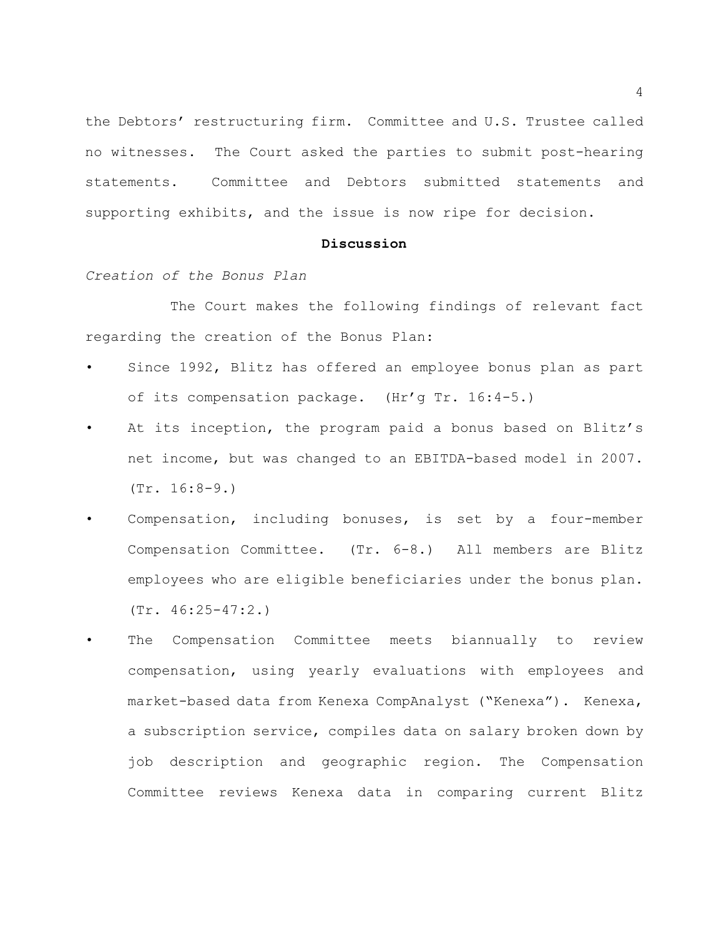the Debtors' restructuring firm. Committee and U.S. Trustee called no witnesses. The Court asked the parties to submit post-hearing statements. Committee and Debtors submitted statements and supporting exhibits, and the issue is now ripe for decision.

#### **Discussion**

*Creation of the Bonus Plan*

The Court makes the following findings of relevant fact regarding the creation of the Bonus Plan:

- Since 1992, Blitz has offered an employee bonus plan as part of its compensation package. (Hr'g Tr. 16:4-5.)
- At its inception, the program paid a bonus based on Blitz's net income, but was changed to an EBITDA-based model in 2007. (Tr. 16:8-9.)
- Compensation, including bonuses, is set by a four-member Compensation Committee. (Tr. 6-8.) All members are Blitz employees who are eligible beneficiaries under the bonus plan. (Tr. 46:25-47:2.)
- The Compensation Committee meets biannually to review compensation, using yearly evaluations with employees and market-based data from Kenexa CompAnalyst ("Kenexa"). Kenexa, a subscription service, compiles data on salary broken down by job description and geographic region. The Compensation Committee reviews Kenexa data in comparing current Blitz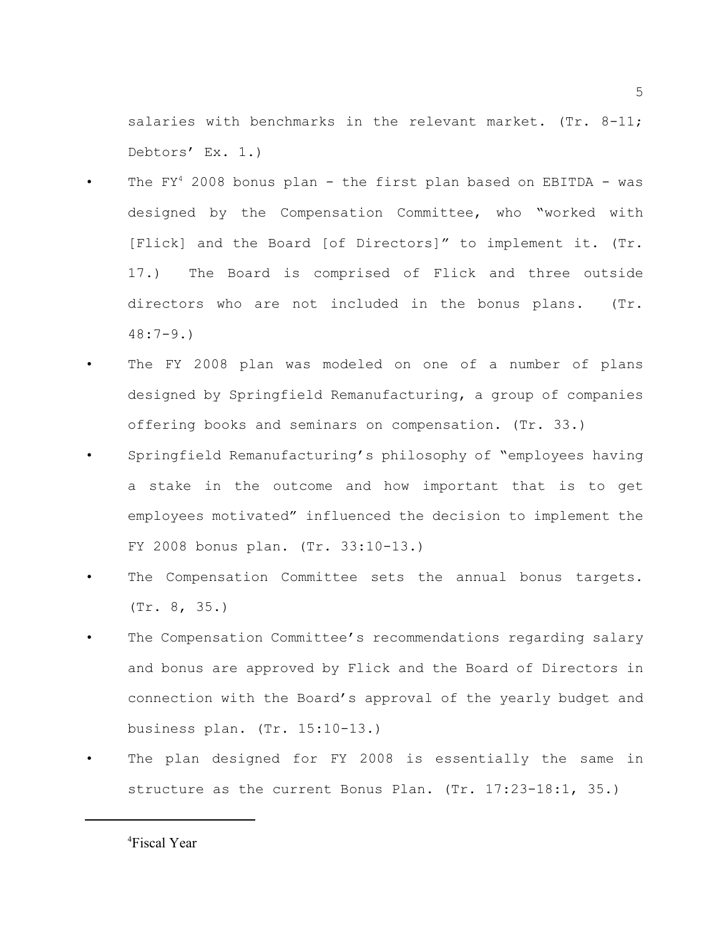salaries with benchmarks in the relevant market.  $(Tr. 8-11;$ Debtors' Ex. 1.)

- The  $FY^4$  2008 bonus plan the first plan based on EBITDA was designed by the Compensation Committee, who "worked with [Flick] and the Board [of Directors]" to implement it. (Tr. 17.) The Board is comprised of Flick and three outside directors who are not included in the bonus plans. (Tr. 48:7-9.)
- The FY 2008 plan was modeled on one of a number of plans designed by Springfield Remanufacturing, a group of companies offering books and seminars on compensation. (Tr. 33.)
- Springfield Remanufacturing's philosophy of "employees having a stake in the outcome and how important that is to get employees motivated" influenced the decision to implement the FY 2008 bonus plan. (Tr. 33:10-13.)
- The Compensation Committee sets the annual bonus targets. (Tr. 8, 35.)
- The Compensation Committee's recommendations regarding salary and bonus are approved by Flick and the Board of Directors in connection with the Board's approval of the yearly budget and business plan. (Tr. 15:10-13.)
- The plan designed for FY 2008 is essentially the same in structure as the current Bonus Plan. (Tr. 17:23-18:1, 35.)

<sup>&</sup>lt;sup>4</sup>Fiscal Year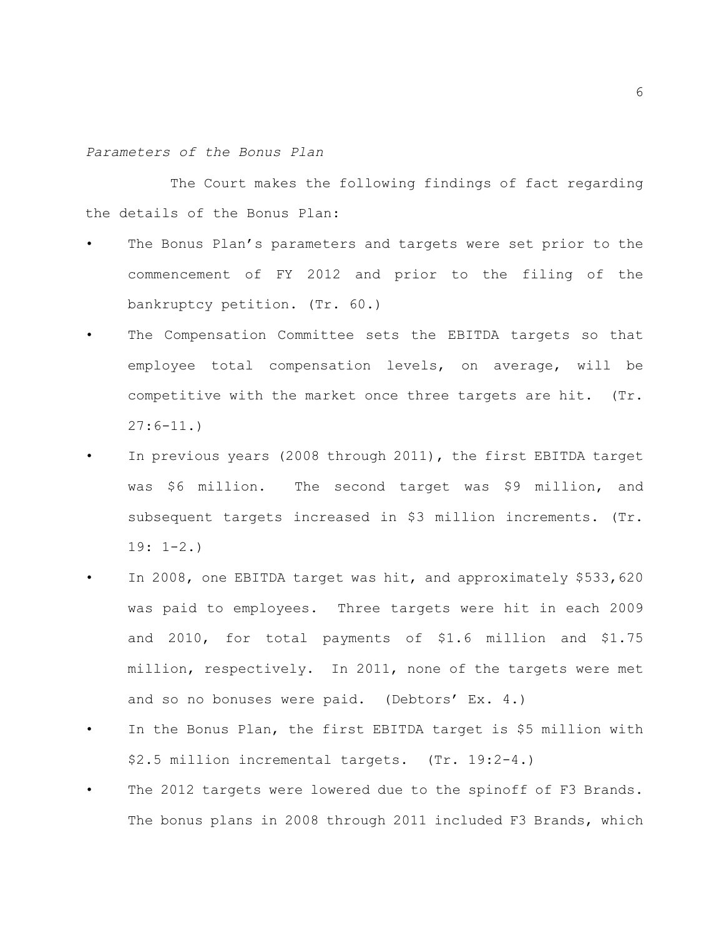#### *Parameters of the Bonus Plan*

The Court makes the following findings of fact regarding the details of the Bonus Plan:

- The Bonus Plan's parameters and targets were set prior to the commencement of FY 2012 and prior to the filing of the bankruptcy petition. (Tr. 60.)
- The Compensation Committee sets the EBITDA targets so that employee total compensation levels, on average, will be competitive with the market once three targets are hit. (Tr.  $27:6-11.$
- In previous years (2008 through 2011), the first EBITDA target was \$6 million. The second target was \$9 million, and subsequent targets increased in \$3 million increments. (Tr. 19: 1-2.)
- In 2008, one EBITDA target was hit, and approximately \$533,620 was paid to employees. Three targets were hit in each 2009 and 2010, for total payments of \$1.6 million and \$1.75 million, respectively. In 2011, none of the targets were met and so no bonuses were paid. (Debtors' Ex. 4.)
- In the Bonus Plan, the first EBITDA target is \$5 million with \$2.5 million incremental targets. (Tr. 19:2-4.)
- The 2012 targets were lowered due to the spinoff of F3 Brands. The bonus plans in 2008 through 2011 included F3 Brands, which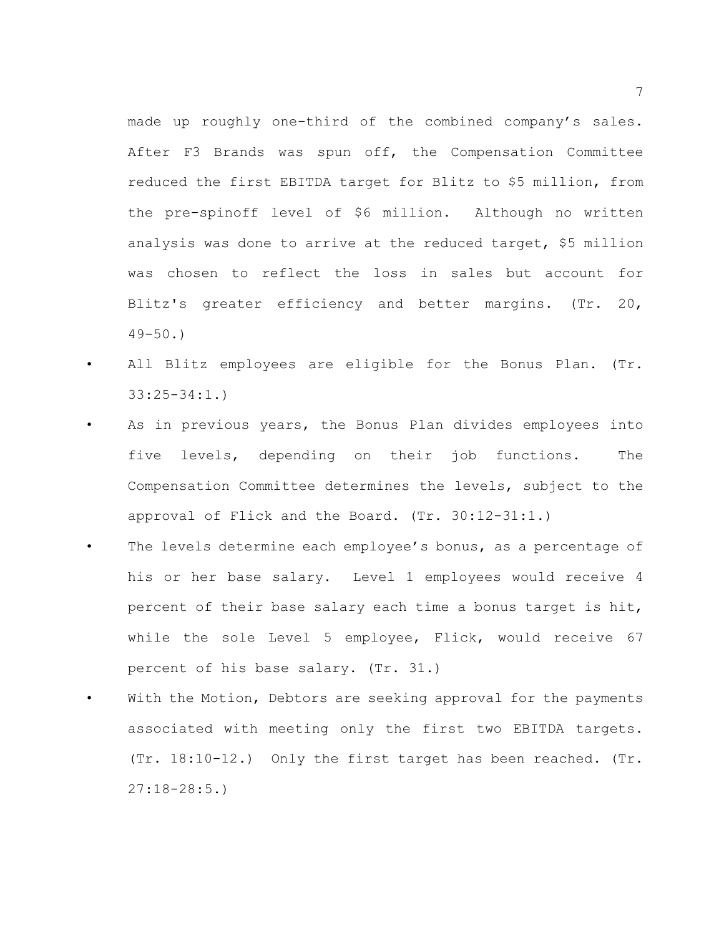made up roughly one-third of the combined company's sales. After F3 Brands was spun off, the Compensation Committee reduced the first EBITDA target for Blitz to \$5 million, from the pre-spinoff level of \$6 million. Although no written analysis was done to arrive at the reduced target, \$5 million was chosen to reflect the loss in sales but account for Blitz's greater efficiency and better margins. (Tr. 20,  $49 - 50.$ 

- All Blitz employees are eligible for the Bonus Plan. (Tr. 33:25-34:1.)
- As in previous years, the Bonus Plan divides employees into five levels, depending on their job functions. The Compensation Committee determines the levels, subject to the approval of Flick and the Board. (Tr. 30:12-31:1.)
- The levels determine each employee's bonus, as a percentage of his or her base salary. Level 1 employees would receive 4 percent of their base salary each time a bonus target is hit, while the sole Level 5 employee, Flick, would receive 67 percent of his base salary. (Tr. 31.)
- With the Motion, Debtors are seeking approval for the payments associated with meeting only the first two EBITDA targets. (Tr. 18:10-12.) Only the first target has been reached. (Tr. 27:18-28:5.)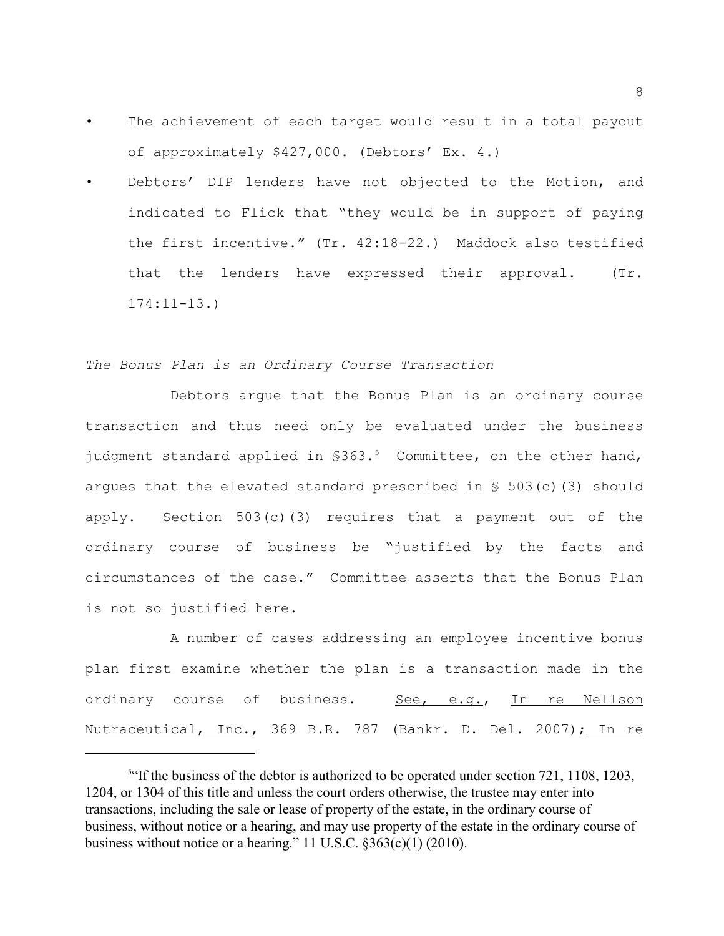- The achievement of each target would result in a total payout of approximately \$427,000. (Debtors' Ex. 4.)
- Debtors' DIP lenders have not objected to the Motion, and indicated to Flick that "they would be in support of paying the first incentive." (Tr. 42:18-22.) Maddock also testified that the lenders have expressed their approval. (Tr. 174:11-13.)

## *The Bonus Plan is an Ordinary Course Transaction*

Debtors argue that the Bonus Plan is an ordinary course transaction and thus need only be evaluated under the business judgment standard applied in  $$363.^5$  Committee, on the other hand, argues that the elevated standard prescribed in  $S$  503(c)(3) should apply. Section 503(c)(3) requires that a payment out of the ordinary course of business be "justified by the facts and circumstances of the case." Committee asserts that the Bonus Plan is not so justified here.

A number of cases addressing an employee incentive bonus plan first examine whether the plan is a transaction made in the ordinary course of business. See, e.g., In re Nellson Nutraceutical, Inc., 369 B.R. 787 (Bankr. D. Del. 2007); In re

<sup>&</sup>lt;sup>5.4</sup> If the business of the debtor is authorized to be operated under section 721, 1108, 1203, 1204, or 1304 of this title and unless the court orders otherwise, the trustee may enter into transactions, including the sale or lease of property of the estate, in the ordinary course of business, without notice or a hearing, and may use property of the estate in the ordinary course of business without notice or a hearing." 11 U.S.C. §363(c)(1) (2010).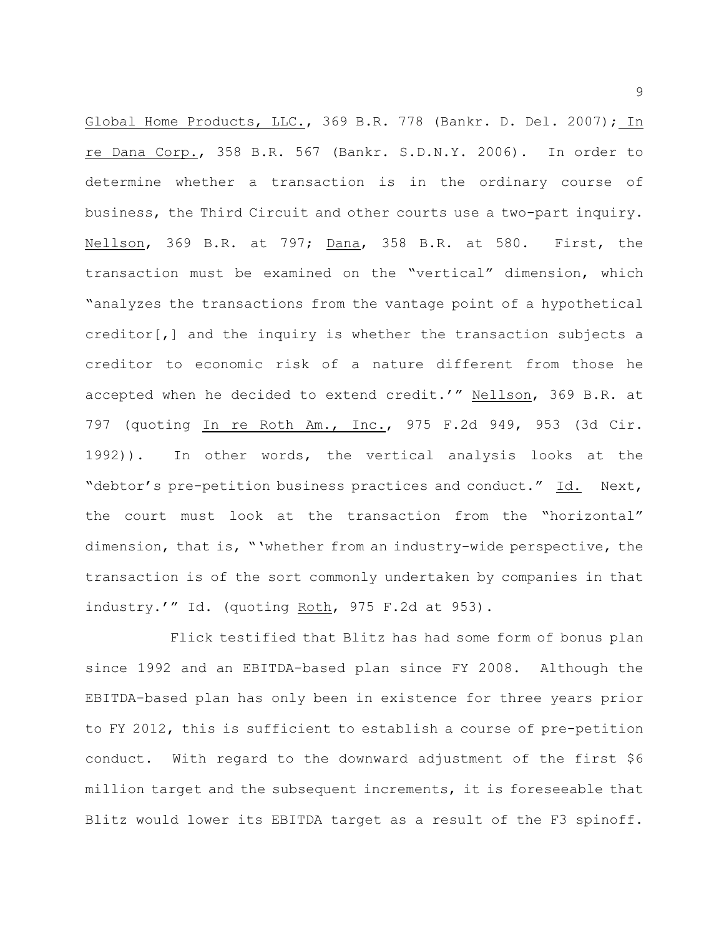Global Home Products, LLC., 369 B.R. 778 (Bankr. D. Del. 2007); In re Dana Corp., 358 B.R. 567 (Bankr. S.D.N.Y. 2006). In order to determine whether a transaction is in the ordinary course of business, the Third Circuit and other courts use a two-part inquiry. Nellson, 369 B.R. at 797; Dana, 358 B.R. at 580. First, the transaction must be examined on the "vertical" dimension, which "analyzes the transactions from the vantage point of a hypothetical creditor[,] and the inquiry is whether the transaction subjects a creditor to economic risk of a nature different from those he accepted when he decided to extend credit.'" Nellson, 369 B.R. at 797 (quoting In re Roth Am., Inc., 975 F.2d 949, 953 (3d Cir. 1992)). In other words, the vertical analysis looks at the "debtor's pre-petition business practices and conduct." Id. Next, the court must look at the transaction from the "horizontal" dimension, that is, "'whether from an industry-wide perspective, the transaction is of the sort commonly undertaken by companies in that industry.'" Id. (quoting Roth, 975 F.2d at 953).

Flick testified that Blitz has had some form of bonus plan since 1992 and an EBITDA-based plan since FY 2008. Although the EBITDA-based plan has only been in existence for three years prior to FY 2012, this is sufficient to establish a course of pre-petition conduct. With regard to the downward adjustment of the first \$6 million target and the subsequent increments, it is foreseeable that Blitz would lower its EBITDA target as a result of the F3 spinoff.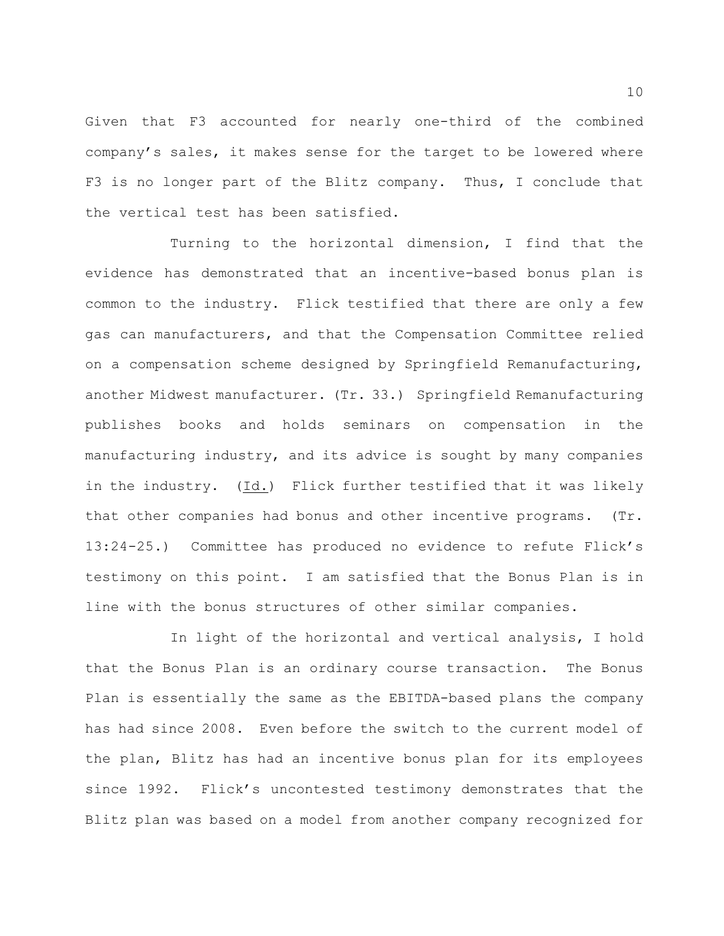Given that F3 accounted for nearly one-third of the combined company's sales, it makes sense for the target to be lowered where F3 is no longer part of the Blitz company. Thus, I conclude that the vertical test has been satisfied.

Turning to the horizontal dimension, I find that the evidence has demonstrated that an incentive-based bonus plan is common to the industry. Flick testified that there are only a few gas can manufacturers, and that the Compensation Committee relied on a compensation scheme designed by Springfield Remanufacturing, another Midwest manufacturer. (Tr. 33.) Springfield Remanufacturing publishes books and holds seminars on compensation in the manufacturing industry, and its advice is sought by many companies in the industry. (Id.) Flick further testified that it was likely that other companies had bonus and other incentive programs. (Tr. 13:24-25.) Committee has produced no evidence to refute Flick's testimony on this point. I am satisfied that the Bonus Plan is in line with the bonus structures of other similar companies.

In light of the horizontal and vertical analysis, I hold that the Bonus Plan is an ordinary course transaction. The Bonus Plan is essentially the same as the EBITDA-based plans the company has had since 2008. Even before the switch to the current model of the plan, Blitz has had an incentive bonus plan for its employees since 1992. Flick's uncontested testimony demonstrates that the Blitz plan was based on a model from another company recognized for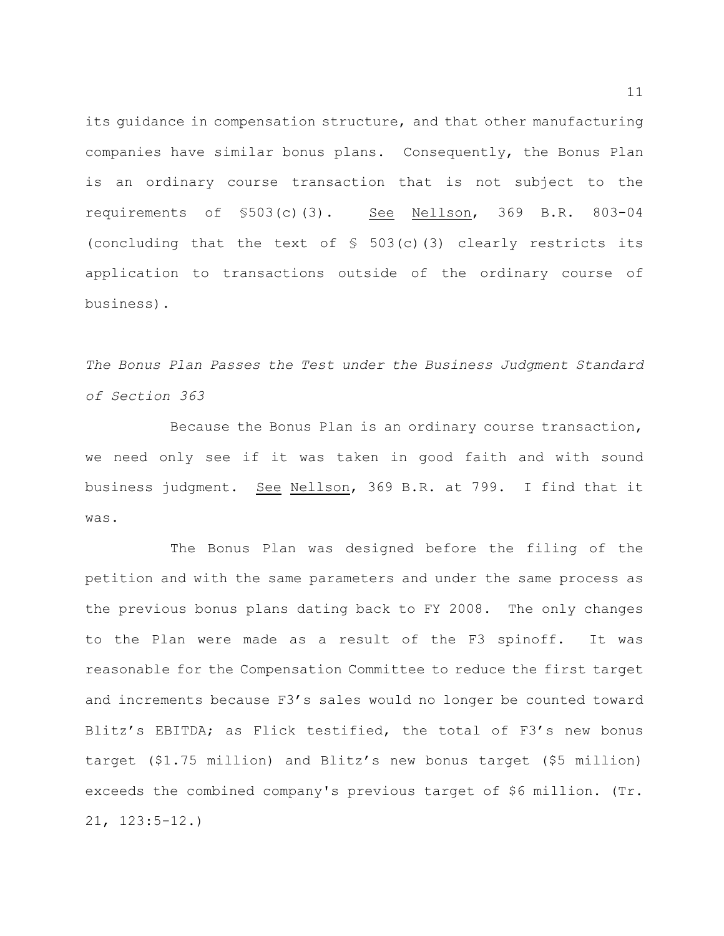its guidance in compensation structure, and that other manufacturing companies have similar bonus plans. Consequently, the Bonus Plan is an ordinary course transaction that is not subject to the requirements of §503(c)(3). See Nellson, 369 B.R. 803-04 (concluding that the text of  $\frac{1}{5}$  503(c)(3) clearly restricts its application to transactions outside of the ordinary course of business).

*The Bonus Plan Passes the Test under the Business Judgment Standard of Section 363*

Because the Bonus Plan is an ordinary course transaction, we need only see if it was taken in good faith and with sound business judgment. See Nellson, 369 B.R. at 799. I find that it was.

The Bonus Plan was designed before the filing of the petition and with the same parameters and under the same process as the previous bonus plans dating back to FY 2008. The only changes to the Plan were made as a result of the F3 spinoff. It was reasonable for the Compensation Committee to reduce the first target and increments because F3's sales would no longer be counted toward Blitz's EBITDA; as Flick testified, the total of F3's new bonus target (\$1.75 million) and Blitz's new bonus target (\$5 million) exceeds the combined company's previous target of \$6 million. (Tr. 21, 123:5-12.)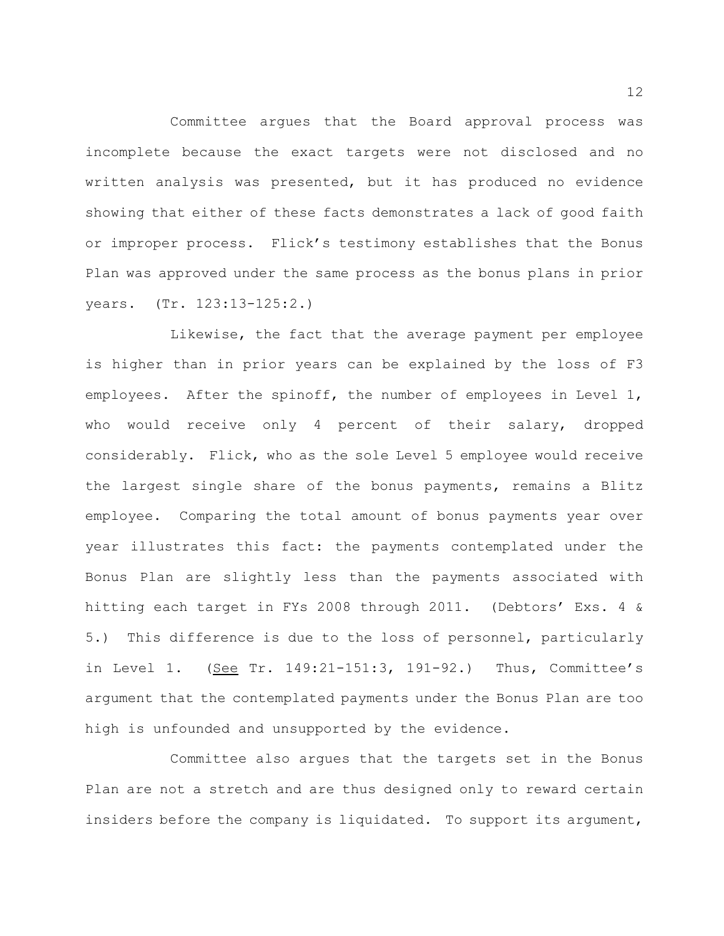Committee argues that the Board approval process was incomplete because the exact targets were not disclosed and no written analysis was presented, but it has produced no evidence showing that either of these facts demonstrates a lack of good faith or improper process. Flick's testimony establishes that the Bonus Plan was approved under the same process as the bonus plans in prior years. (Tr. 123:13-125:2.)

Likewise, the fact that the average payment per employee is higher than in prior years can be explained by the loss of F3 employees. After the spinoff, the number of employees in Level 1, who would receive only 4 percent of their salary, dropped considerably. Flick, who as the sole Level 5 employee would receive the largest single share of the bonus payments, remains a Blitz employee. Comparing the total amount of bonus payments year over year illustrates this fact: the payments contemplated under the Bonus Plan are slightly less than the payments associated with hitting each target in FYs 2008 through 2011. (Debtors' Exs. 4 & 5.) This difference is due to the loss of personnel, particularly in Level 1. (See Tr. 149:21-151:3, 191-92.) Thus, Committee's argument that the contemplated payments under the Bonus Plan are too high is unfounded and unsupported by the evidence.

Committee also argues that the targets set in the Bonus Plan are not a stretch and are thus designed only to reward certain insiders before the company is liquidated. To support its argument,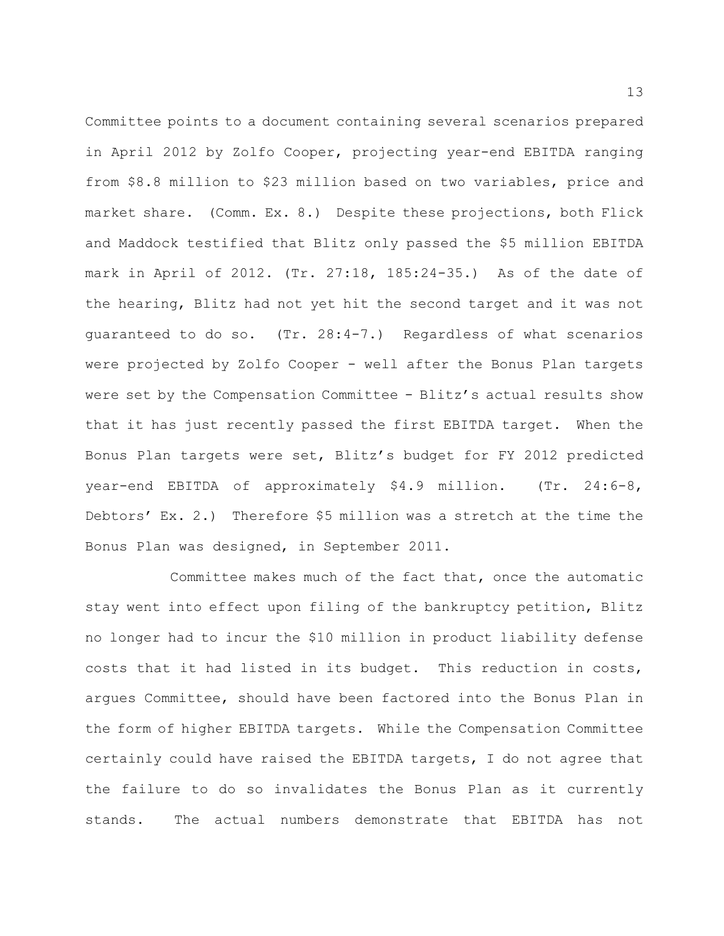Committee points to a document containing several scenarios prepared in April 2012 by Zolfo Cooper, projecting year-end EBITDA ranging from \$8.8 million to \$23 million based on two variables, price and market share. (Comm. Ex. 8.) Despite these projections, both Flick and Maddock testified that Blitz only passed the \$5 million EBITDA mark in April of 2012. (Tr. 27:18, 185:24-35.) As of the date of the hearing, Blitz had not yet hit the second target and it was not guaranteed to do so. (Tr. 28:4-7.) Regardless of what scenarios were projected by Zolfo Cooper - well after the Bonus Plan targets were set by the Compensation Committee - Blitz's actual results show that it has just recently passed the first EBITDA target. When the Bonus Plan targets were set, Blitz's budget for FY 2012 predicted year-end EBITDA of approximately \$4.9 million. (Tr. 24:6-8, Debtors' Ex. 2.) Therefore \$5 million was a stretch at the time the Bonus Plan was designed, in September 2011.

Committee makes much of the fact that, once the automatic stay went into effect upon filing of the bankruptcy petition, Blitz no longer had to incur the \$10 million in product liability defense costs that it had listed in its budget. This reduction in costs, argues Committee, should have been factored into the Bonus Plan in the form of higher EBITDA targets. While the Compensation Committee certainly could have raised the EBITDA targets, I do not agree that the failure to do so invalidates the Bonus Plan as it currently stands. The actual numbers demonstrate that EBITDA has not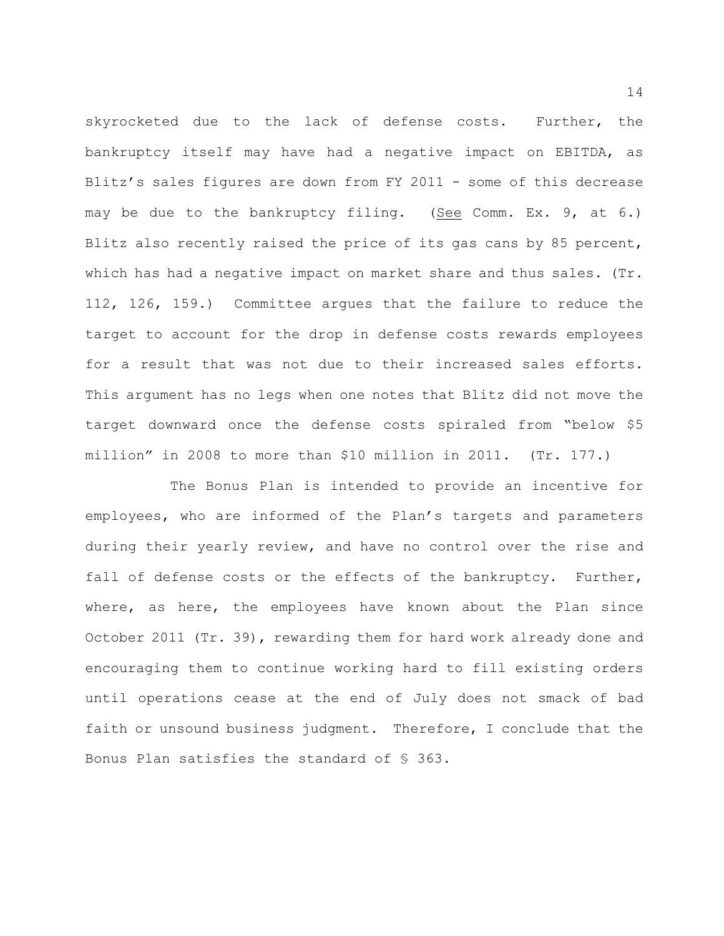skyrocketed due to the lack of defense costs. Further, the bankruptcy itself may have had a negative impact on EBITDA, as Blitz's sales figures are down from FY 2011 - some of this decrease may be due to the bankruptcy filing. (See Comm. Ex. 9, at 6.) Blitz also recently raised the price of its gas cans by 85 percent, which has had a negative impact on market share and thus sales. (Tr. 112, 126, 159.) Committee argues that the failure to reduce the target to account for the drop in defense costs rewards employees for a result that was not due to their increased sales efforts. This argument has no legs when one notes that Blitz did not move the target downward once the defense costs spiraled from "below \$5 million" in 2008 to more than \$10 million in 2011. (Tr. 177.)

The Bonus Plan is intended to provide an incentive for employees, who are informed of the Plan's targets and parameters during their yearly review, and have no control over the rise and fall of defense costs or the effects of the bankruptcy. Further, where, as here, the employees have known about the Plan since October 2011 (Tr. 39), rewarding them for hard work already done and encouraging them to continue working hard to fill existing orders until operations cease at the end of July does not smack of bad faith or unsound business judgment. Therefore, I conclude that the Bonus Plan satisfies the standard of § 363.